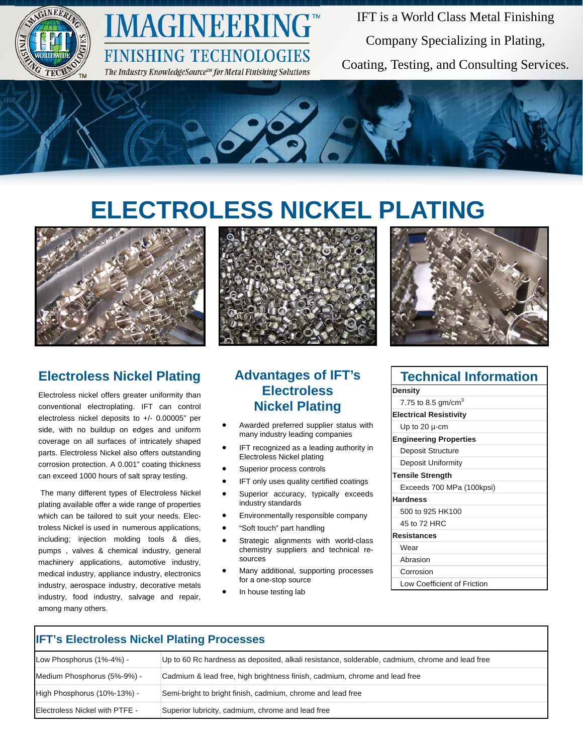

## **IMAGINEERING FINISHING TECHNOLOGIES**

The Industry KnowledgeSource™ for Metal Finishing Solutions

IFT is a World Class Metal Finishing Company Specializing in Plating, Coating, Testing, and Consulting Services.



# **ELECTROLESS NICKEL PLATING**



#### **Electroless Nickel Plating**

Electroless nickel offers greater uniformity than conventional electroplating. IFT can control electroless nickel deposits to +/- 0.00005" per side, with no buildup on edges and uniform coverage on all surfaces of intricately shaped parts. Electroless Nickel also offers outstanding corrosion protection. A 0.001" coating thickness can exceed 1000 hours of salt spray testing.

 The many different types of Electroless Nickel plating available offer a wide range of properties which can be tailored to suit your needs. Electroless Nickel is used in numerous applications, including; injection molding tools & dies, pumps , valves & chemical industry, general machinery applications, automotive industry, medical industry, appliance industry, electronics industry, aerospace industry, decorative metals industry, food industry, salvage and repair, among many others.



#### **Advantages of IFT's Electroless Nickel Plating**

- Awarded preferred supplier status with many industry leading companies
- IFT recognized as a leading authority in Electroless Nickel plating
- Superior process controls
- IFT only uses quality certified coatings
- Superior accuracy, typically exceeds industry standards
- Environmentally responsible company
- "Soft touch" part handling
- Strategic alignments with world-class chemistry suppliers and technical resources
- Many additional, supporting processes for a one-stop source
- In house testing lab



| <b>Technical Information</b>   |
|--------------------------------|
| <b>Density</b>                 |
| 7.75 to 8.5 gm/cm <sup>3</sup> |
| <b>Electrical Resistivity</b>  |
| Up to 20 $\mu$ -cm             |
| <b>Engineering Properties</b>  |
| Deposit Structure              |
| Deposit Uniformity             |
| <b>Tensile Strength</b>        |
| Exceeds 700 MPa (100kpsi)      |
| <b>Hardness</b>                |
| 500 to 925 HK100               |
| 45 to 72 HRC                   |
| <b>Resistances</b>             |
| Wear                           |
| Abrasion                       |
| Corrosion                      |
| Low Coefficient of Friction    |

| <b>IFT's Electroless Nickel Plating Processes</b> |                                                                                                 |  |  |  |
|---------------------------------------------------|-------------------------------------------------------------------------------------------------|--|--|--|
| Low Phosphorus (1%-4%) -                          | Up to 60 Rc hardness as deposited, alkali resistance, solderable, cadmium, chrome and lead free |  |  |  |
| Medium Phosphorus (5%-9%) -                       | Cadmium & lead free, high brightness finish, cadmium, chrome and lead free                      |  |  |  |
| High Phosphorus (10%-13%) -                       | Semi-bright to bright finish, cadmium, chrome and lead free                                     |  |  |  |
| Electroless Nickel with PTFE -                    | Superior lubricity, cadmium, chrome and lead free                                               |  |  |  |